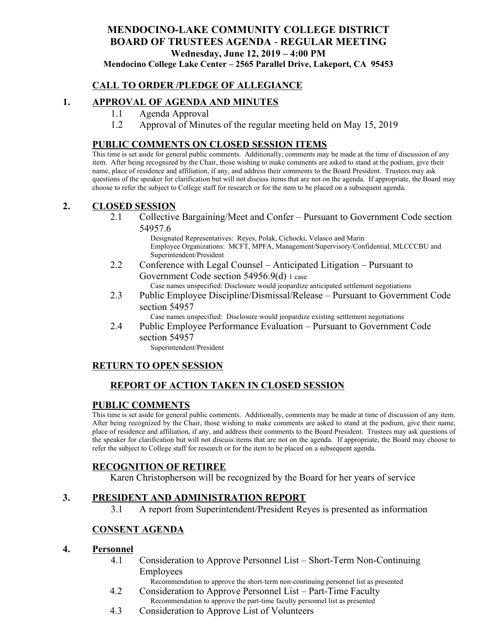# **MENDOCINO-LAKE COMMUNITY COLLEGE DISTRICT BOARD OF TRUSTEES AGENDA** - **REGULAR MEETING Wednesday, June 12, 2019 – 4:00 PM**

**Mendocino College Lake Center – 2565 Parallel Drive, Lakeport, CA 95453**

## **CALL TO ORDER /PLEDGE OF ALLEGIANCE**

## **1. APPROVAL OF AGENDA AND MINUTES**

- 1.1 Agenda Approval
- 1.2 Approval of Minutes of the regular meeting held on May 15, 2019

#### **PUBLIC COMMENTS ON CLOSED SESSION ITEMS**

This time is set aside for general public comments. Additionally, comments may be made at the time of discussion of any item. After being recognized by the Chair, those wishing to make comments are asked to stand at the podium, give their name, place of residence and affiliation, if any, and address their comments to the Board President. Trustees may ask questions of the speaker for clarification but will not discuss items that are not on the agenda. If appropriate, the Board may choose to refer the subject to College staff for research or for the item to be placed on a subsequent agenda.

#### **2. CLOSED SESSION**

2.1 Collective Bargaining/Meet and Confer – Pursuant to Government Code section 54957.6

> Designated Representatives: Reyes, Polak, Cichocki, Velasco and Marin Employee Organizations: MCFT, MPFA, Management/Supervisory/Confidential, MLCCCBU and Superintendent/President

- 2.2 Conference with Legal Counsel Anticipated Litigation Pursuant to Government Code section 54956.9(d) 1 case Case names unspecified: Disclosure would jeopardize anticipated settlement negotiations
- 2.3 Public Employee Discipline/Dismissal/Release Pursuant to Government Code section 54957

Case names unspecified: Disclosure would jeopardize existing settlement negotiations

2.4 Public Employee Performance Evaluation – Pursuant to Government Code section 54957

Superintendent/President

## **RETURN TO OPEN SESSION**

## **REPORT OF ACTION TAKEN IN CLOSED SESSION**

#### **PUBLIC COMMENTS**

This time is set aside for general public comments. Additionally, comments may be made at time of discussion of any item. After being recognized by the Chair, those wishing to make comments are asked to stand at the podium, give their name, place of residence and affiliation, if any, and address their comments to the Board President. Trustees may ask questions of the speaker for clarification but will not discuss items that are not on the agenda. If appropriate, the Board may choose to refer the subject to College staff for research or for the item to be placed on a subsequent agenda.

## **RECOGNITION OF RETIREE**

Karen Christopherson will be recognized by the Board for her years of service

## **3. PRESIDENT AND ADMINISTRATION REPORT**

3.1 A report from Superintendent/President Reyes is presented as information

## **CONSENT AGENDA**

#### **4. Personnel**

4.1 Consideration to Approve Personnel List – Short-Term Non-Continuing Employees

Recommendation to approve the short-term non-continuing personnel list as presented

- 4.2 Consideration to Approve Personnel List Part-Time Faculty Recommendation to approve the part-time faculty personnel list as presented
- 4.3 Consideration to Approve List of Volunteers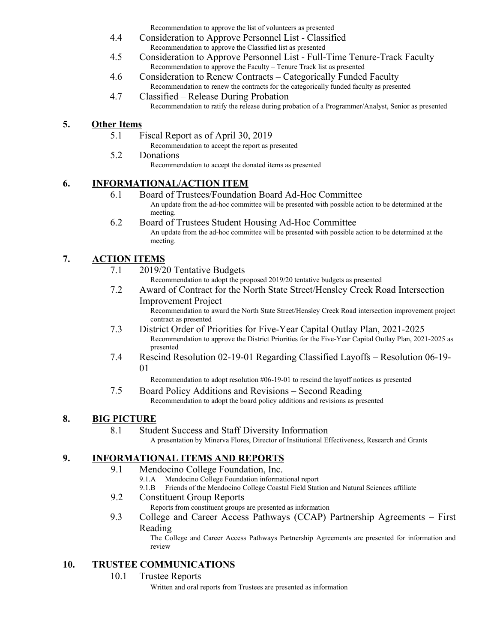Recommendation to approve the list of volunteers as presented

- 4.4 Consideration to Approve Personnel List Classified Recommendation to approve the Classified list as presented
- 4.5 Consideration to Approve Personnel List Full-Time Tenure-Track Faculty Recommendation to approve the Faculty – Tenure Track list as presented
- 4.6 Consideration to Renew Contracts Categorically Funded Faculty Recommendation to renew the contracts for the categorically funded faculty as presented
- 4.7 Classified Release During Probation Recommendation to ratify the release during probation of a Programmer/Analyst, Senior as presented

## **5. Other Items**

- 5.1 Fiscal Report as of April 30, 2019
	- Recommendation to accept the report as presented
- 5.2 Donations

Recommendation to accept the donated items as presented

## **6. INFORMATIONAL/ACTION ITEM**

- 6.1 Board of Trustees/Foundation Board Ad-Hoc Committee An update from the ad-hoc committee will be presented with possible action to be determined at the meeting.
- 6.2 Board of Trustees Student Housing Ad-Hoc Committee An update from the ad-hoc committee will be presented with possible action to be determined at the meeting.

## **7. ACTION ITEMS**

- 7.1 2019/20 Tentative Budgets
	- Recommendation to adopt the proposed 2019/20 tentative budgets as presented
- 7.2 Award of Contract for the North State Street/Hensley Creek Road Intersection Improvement Project

Recommendation to award the North State Street/Hensley Creek Road intersection improvement project contract as presented

- 7.3 District Order of Priorities for Five-Year Capital Outlay Plan, 2021-2025 Recommendation to approve the District Priorities for the Five-Year Capital Outlay Plan, 2021-2025 as presented
- 7.4 Rescind Resolution 02-19-01 Regarding Classified Layoffs Resolution 06-19- 01

Recommendation to adopt resolution #06-19-01 to rescind the layoff notices as presented

7.5 Board Policy Additions and Revisions – Second Reading Recommendation to adopt the board policy additions and revisions as presented

## **8. BIG PICTURE**

8.1 Student Success and Staff Diversity Information

A presentation by Minerva Flores, Director of Institutional Effectiveness, Research and Grants

## **9. INFORMATIONAL ITEMS AND REPORTS**

- 9.1 Mendocino College Foundation, Inc.
	- 9.1.A Mendocino College Foundation informational report
	- 9.1.B Friends of the Mendocino College Coastal Field Station and Natural Sciences affiliate
- 9.2 Constituent Group Reports
	- Reports from constituent groups are presented as information
- 9.3 College and Career Access Pathways (CCAP) Partnership Agreements First Reading

The College and Career Access Pathways Partnership Agreements are presented for information and review

## **10. TRUSTEE COMMUNICATIONS**

10.1 Trustee Reports

Written and oral reports from Trustees are presented as information